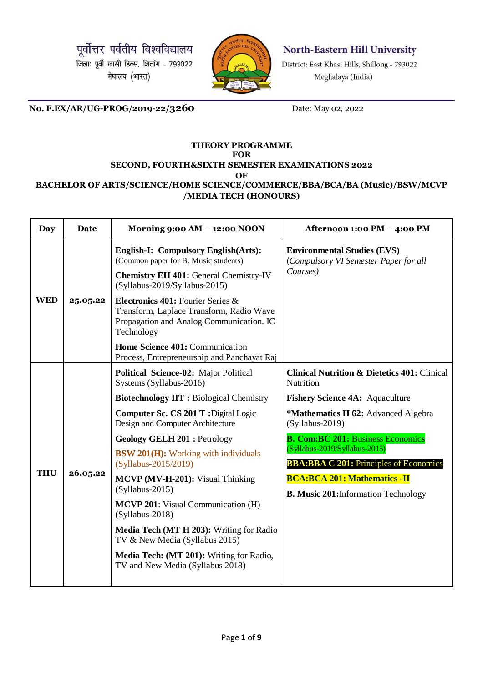पूर्वोत्तर पर्वतीय विश्वविद्यालय जिला: पूर्वी खासी हिल्स, शिलांग - 793022 मेघालय (भारत)



North-Eastern Hill University

District: East Khasi Hills, Shillong - 793022 Meghalaya (India)

**No. F.EX/AR/UG-PROG/2019-22/3260** Date: May 02, 2022

## **THEORY PROGRAMME FOR SECOND, FOURTH&SIXTH SEMESTER EXAMINATIONS 2022**

**OF**

## **BACHELOR OF ARTS/SCIENCE/HOME SCIENCE/COMMERCE/BBA/BCA/BA (Music)/BSW/MCVP /MEDIA TECH (HONOURS)**

| <b>Day</b> | <b>Date</b> | Morning 9:00 AM - 12:00 NOON                                                                                                                                   | Afternoon 1:00 PM - 4:00 PM                                                             |
|------------|-------------|----------------------------------------------------------------------------------------------------------------------------------------------------------------|-----------------------------------------------------------------------------------------|
|            |             | English-I: Compulsory English(Arts):<br>(Common paper for B. Music students)<br><b>Chemistry EH 401: General Chemistry-IV</b><br>(Syllabus-2019/Syllabus-2015) | <b>Environmental Studies (EVS)</b><br>(Compulsory VI Semester Paper for all<br>Courses) |
| <b>WED</b> | 25.05.22    | Electronics 401: Fourier Series &<br>Transform, Laplace Transform, Radio Wave<br>Propagation and Analog Communication. IC<br>Technology                        |                                                                                         |
|            |             | Home Science 401: Communication<br>Process, Entrepreneurship and Panchayat Raj                                                                                 |                                                                                         |
|            | 26.05.22    | <b>Political Science-02: Major Political</b><br>Systems (Syllabus-2016)                                                                                        | <b>Clinical Nutrition &amp; Dietetics 401: Clinical</b><br>Nutrition                    |
|            |             | <b>Biotechnology IIT: Biological Chemistry</b>                                                                                                                 | <b>Fishery Science 4A: Aquaculture</b>                                                  |
|            |             | Computer Sc. CS 201 T: Digital Logic<br>Design and Computer Architecture                                                                                       | *Mathematics H 62: Advanced Algebra<br>$(Syllabus-2019)$                                |
|            |             | <b>Geology GELH 201: Petrology</b>                                                                                                                             | <b>B. Com:BC 201: Business Economics</b>                                                |
|            |             | <b>BSW 201(H):</b> Working with individuals<br>(Syllabus-2015/2019)                                                                                            | (Syllabus-2019/Syllabus-2015)<br><b>BBA:BBA C 201: Principles of Economics</b>          |
| <b>THU</b> |             | MCVP (MV-H-201): Visual Thinking<br>$(Syllabus-2015)$                                                                                                          | <b>BCA:BCA 201: Mathematics -II</b>                                                     |
|            |             | <b>MCVP 201:</b> Visual Communication (H)<br>$(Syllabus-2018)$                                                                                                 | <b>B. Music 201:</b> Information Technology                                             |
|            |             | Media Tech (MT H 203): Writing for Radio<br>TV & New Media (Syllabus 2015)                                                                                     |                                                                                         |
|            |             | Media Tech: (MT 201): Writing for Radio,<br>TV and New Media (Syllabus 2018)                                                                                   |                                                                                         |
|            |             |                                                                                                                                                                |                                                                                         |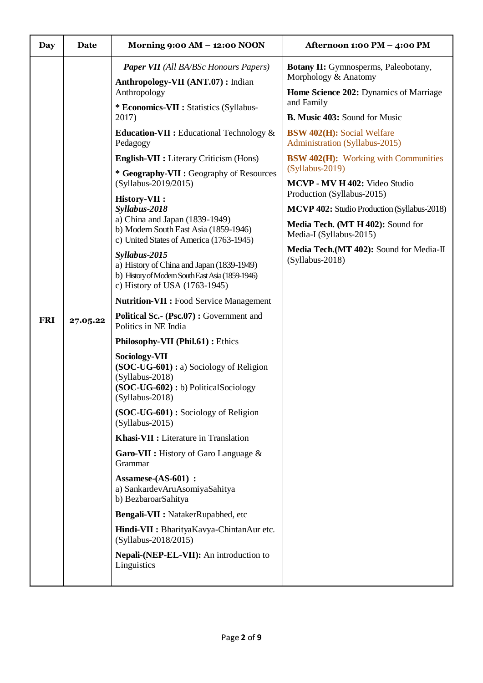| Day        | Date     | Morning $9:00 AM - 12:00 N OON$                                                                                                                                                                                                                                                                                                                                                                                                                                                                                                                                                                                                                                                                                                                                                                                                                    | Afternoon 1:00 PM - 4:00 PM                                                                                                                                                                                                                                                                                                                                                                                                                                                                                                                                 |
|------------|----------|----------------------------------------------------------------------------------------------------------------------------------------------------------------------------------------------------------------------------------------------------------------------------------------------------------------------------------------------------------------------------------------------------------------------------------------------------------------------------------------------------------------------------------------------------------------------------------------------------------------------------------------------------------------------------------------------------------------------------------------------------------------------------------------------------------------------------------------------------|-------------------------------------------------------------------------------------------------------------------------------------------------------------------------------------------------------------------------------------------------------------------------------------------------------------------------------------------------------------------------------------------------------------------------------------------------------------------------------------------------------------------------------------------------------------|
| <b>FRI</b> | 27.05.22 | <b>Paper VII</b> (All BA/BSc Honours Papers)<br>Anthropology-VII (ANT.07) : Indian<br>Anthropology<br>* Economics-VII : Statistics (Syllabus-<br>2017)<br><b>Education-VII</b> : Educational Technology $\&$<br>Pedagogy<br><b>English-VII :</b> Literary Criticism (Hons)<br>* Geography-VII : Geography of Resources<br>(Syllabus-2019/2015)<br><b>History-VII:</b><br>Syllabus-2018<br>a) China and Japan (1839-1949)<br>b) Modern South East Asia (1859-1946)<br>c) United States of America (1763-1945)<br>Syllabus-2015<br>a) History of China and Japan (1839-1949)<br>b) History of Modern South East Asia (1859-1946)<br>c) History of USA (1763-1945)<br><b>Nutrition-VII : Food Service Management</b><br>Political Sc.- (Psc.07) : Government and<br>Politics in NE India<br>Philosophy-VII (Phil.61) : Ethics<br><b>Sociology-VII</b> | <b>Botany II:</b> Gymnosperms, Paleobotany,<br>Morphology & Anatomy<br>Home Science 202: Dynamics of Marriage<br>and Family<br><b>B. Music 403: Sound for Music</b><br><b>BSW 402(H):</b> Social Welfare<br>Administration (Syllabus-2015)<br><b>BSW 402(H):</b> Working with Communities<br>$(Syllabus-2019)$<br>MCVP - MV H 402: Video Studio<br>Production (Syllabus-2015)<br>MCVP 402: Studio Production (Syllabus-2018)<br>Media Tech. (MT H 402): Sound for<br>Media-I (Syllabus-2015)<br>Media Tech. (MT 402): Sound for Media-II<br>(Syllabus-2018) |
|            |          | $(SOC-UG-601) : a)$ Sociology of Religion<br>$(Syllabus-2018)$<br>(SOC-UG-602) : b) PoliticalSociology<br>$(Syllabus-2018)$<br>(SOC-UG-601): Sociology of Religion<br>$(Syllabus-2015)$<br>Khasi-VII : Literature in Translation<br><b>Garo-VII</b> : History of Garo Language $\&$<br>Grammar<br>Assamese-(AS-601) :<br>a) SankardevAruAsomiyaSahitya<br>b) BezbaroarSahitya<br>Bengali-VII : NatakerRupabhed, etc<br>Hindi-VII : BharityaKavya-ChintanAur etc.<br>(Syllabus-2018/2015)<br>Nepali-(NEP-EL-VII): An introduction to<br>Linguistics                                                                                                                                                                                                                                                                                                 |                                                                                                                                                                                                                                                                                                                                                                                                                                                                                                                                                             |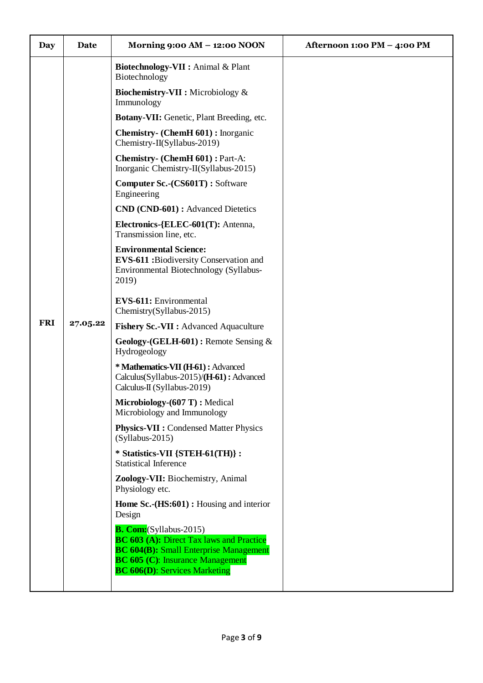| <b>Day</b> | Date     | Morning $9:00 \text{ AM} - 12:00 \text{ NOON}$                                                                                                                                                                        | Afternoon 1:00 PM - 4:00 PM |
|------------|----------|-----------------------------------------------------------------------------------------------------------------------------------------------------------------------------------------------------------------------|-----------------------------|
|            |          | Biotechnology-VII : Animal & Plant<br>Biotechnology                                                                                                                                                                   |                             |
|            |          | <b>Biochemistry-VII :</b> Microbiology &<br>Immunology                                                                                                                                                                |                             |
|            |          | <b>Botany-VII:</b> Genetic, Plant Breeding, etc.                                                                                                                                                                      |                             |
|            |          | <b>Chemistry-</b> (ChemH 601): Inorganic<br>Chemistry-II(Syllabus-2019)                                                                                                                                               |                             |
|            |          | <b>Chemistry- (ChemH 601): Part-A:</b><br>Inorganic Chemistry-II(Syllabus-2015)                                                                                                                                       |                             |
|            |          | <b>Computer Sc.-(CS601T): Software</b><br>Engineering                                                                                                                                                                 |                             |
|            |          | <b>CND (CND-601):</b> Advanced Dietetics                                                                                                                                                                              |                             |
|            |          | Electronics-{ELEC-601(T): Antenna,<br>Transmission line, etc.                                                                                                                                                         |                             |
|            |          | <b>Environmental Science:</b><br><b>EVS-611 :</b> Biodiversity Conservation and<br>Environmental Biotechnology (Syllabus-<br>2019)                                                                                    |                             |
|            |          | EVS-611: Environmental<br>Chemistry(Syllabus-2015)                                                                                                                                                                    |                             |
| <b>FRI</b> | 27.05.22 | <b>Fishery Sc.-VII : Advanced Aquaculture</b>                                                                                                                                                                         |                             |
|            |          | Geology-(GELH-601) : Remote Sensing $&$<br>Hydrogeology                                                                                                                                                               |                             |
|            |          | * Mathematics-VII (H-61) : Advanced<br>Calculus(Syllabus-2015)/(H-61): Advanced<br>Calculus-II (Syllabus-2019)                                                                                                        |                             |
|            |          | Microbiology-(607 T) : Medical<br>Microbiology and Immunology                                                                                                                                                         |                             |
|            |          | <b>Physics-VII : Condensed Matter Physics</b><br>$(Syllabus-2015)$                                                                                                                                                    |                             |
|            |          | * Statistics-VII {STEH-61(TH)} :<br><b>Statistical Inference</b>                                                                                                                                                      |                             |
|            |          | Zoology-VII: Biochemistry, Animal<br>Physiology etc.                                                                                                                                                                  |                             |
|            |          | Home Sc.-(HS:601) : Housing and interior<br>Design                                                                                                                                                                    |                             |
|            |          | <b>B. Com:</b> (Syllabus-2015)<br><b>BC 603 (A): Direct Tax laws and Practice</b><br><b>BC 604(B):</b> Small Enterprise Management<br><b>BC 605 (C): Insurance Management</b><br><b>BC 606(D): Services Marketing</b> |                             |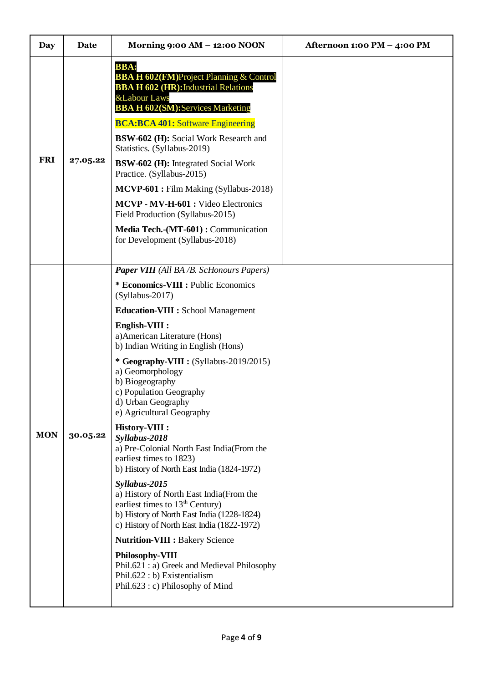| Day        | Date     | Morning 9:00 AM - 12:00 NOON                                                                                                                                                                                                                                                                                                                                                                                                                                                                                                                                                                                                                                                                                                                                                                                                                                                                                                                                  | Afternoon 1:00 PM - 4:00 PM |
|------------|----------|---------------------------------------------------------------------------------------------------------------------------------------------------------------------------------------------------------------------------------------------------------------------------------------------------------------------------------------------------------------------------------------------------------------------------------------------------------------------------------------------------------------------------------------------------------------------------------------------------------------------------------------------------------------------------------------------------------------------------------------------------------------------------------------------------------------------------------------------------------------------------------------------------------------------------------------------------------------|-----------------------------|
| <b>FRI</b> | 27.05.22 | <b>BBA:</b><br><b>BBA H 602(FM)Project Planning &amp; Control</b><br><b>BBA H 602 (HR): Industrial Relations</b><br><b>&amp;Labour Laws</b><br><b>BBA H 602(SM): Services Marketing</b><br><b>BCA:BCA 401: Software Engineering</b><br>BSW-602 (H): Social Work Research and<br>Statistics. (Syllabus-2019)<br><b>BSW-602 (H):</b> Integrated Social Work<br>Practice. (Syllabus-2015)<br>MCVP-601 : Film Making (Syllabus-2018)<br>MCVP - MV-H-601 : Video Electronics<br>Field Production (Syllabus-2015)<br>Media Tech.-(MT-601): Communication<br>for Development (Syllabus-2018)                                                                                                                                                                                                                                                                                                                                                                         |                             |
| <b>MON</b> | 30.05.22 | <b>Paper VIII</b> (All BA /B. ScHonours Papers)<br>* Economics-VIII : Public Economics<br>(Syllabus-2017)<br><b>Education-VIII : School Management</b><br>English-VIII :<br>a) American Literature (Hons)<br>b) Indian Writing in English (Hons)<br>* Geography-VIII : (Syllabus-2019/2015)<br>a) Geomorphology<br>b) Biogeography<br>c) Population Geography<br>d) Urban Geography<br>e) Agricultural Geography<br>History-VIII :<br>Syllabus-2018<br>a) Pre-Colonial North East India(From the<br>earliest times to 1823)<br>b) History of North East India (1824-1972)<br>Syllabus-2015<br>a) History of North East India(From the<br>earliest times to $13th$ Century)<br>b) History of North East India (1228-1824)<br>c) History of North East India (1822-1972)<br><b>Nutrition-VIII : Bakery Science</b><br><b>Philosophy-VIII</b><br>Phil.621 : a) Greek and Medieval Philosophy<br>Phil.622 : b) Existentialism<br>Phil.623 : c) Philosophy of Mind |                             |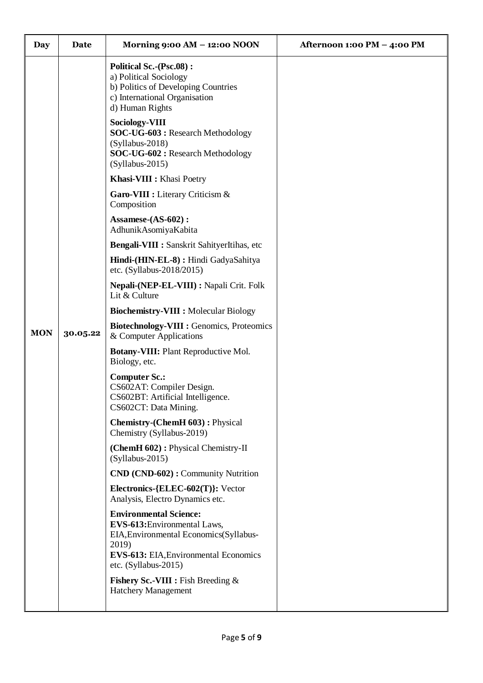| <b>Day</b> | Date     | Morning 9:00 AM - 12:00 NOON                                                                                                                                                                | Afternoon 1:00 PM - 4:00 PM |
|------------|----------|---------------------------------------------------------------------------------------------------------------------------------------------------------------------------------------------|-----------------------------|
|            |          | <b>Political Sc.-(Psc.08):</b><br>a) Political Sociology<br>b) Politics of Developing Countries<br>c) International Organisation<br>d) Human Rights                                         |                             |
|            |          | <b>Sociology-VIII</b><br>SOC-UG-603 : Research Methodology<br>$(Syllabus-2018)$<br>SOC-UG-602: Research Methodology<br>$(Syllabus-2015)$                                                    |                             |
|            |          | Khasi-VIII : Khasi Poetry                                                                                                                                                                   |                             |
|            |          | Garo-VIII : Literary Criticism &<br>Composition                                                                                                                                             |                             |
|            |          | Assamese-(AS-602):<br>AdhunikAsomiyaKabita                                                                                                                                                  |                             |
|            |          | Bengali-VIII : Sanskrit SahityerItihas, etc                                                                                                                                                 |                             |
|            |          | Hindi-(HIN-EL-8) : Hindi GadyaSahitya<br>etc. (Syllabus-2018/2015)                                                                                                                          |                             |
|            |          | Nepali-(NEP-EL-VIII) : Napali Crit. Folk<br>Lit & Culture                                                                                                                                   |                             |
|            |          | <b>Biochemistry-VIII : Molecular Biology</b>                                                                                                                                                |                             |
| <b>MON</b> | 30.05.22 | Biotechnology-VIII : Genomics, Proteomics<br>& Computer Applications                                                                                                                        |                             |
|            |          | <b>Botany-VIII:</b> Plant Reproductive Mol.<br>Biology, etc.                                                                                                                                |                             |
|            |          | <b>Computer Sc.:</b><br>CS602AT: Compiler Design.<br>CS602BT: Artificial Intelligence.<br>CS602CT: Data Mining.                                                                             |                             |
|            |          | Chemistry-(ChemH 603): Physical<br>Chemistry (Syllabus-2019)                                                                                                                                |                             |
|            |          | (ChemH 602): Physical Chemistry-II<br>$(Syllabus-2015)$                                                                                                                                     |                             |
|            |          | CND (CND-602): Community Nutrition                                                                                                                                                          |                             |
|            |          | Electronics-{ELEC-602(T)}: Vector<br>Analysis, Electro Dynamics etc.                                                                                                                        |                             |
|            |          | <b>Environmental Science:</b><br>EVS-613: Environmental Laws,<br>EIA, Environmental Economics (Syllabus-<br>2019)<br><b>EVS-613:</b> EIA, Environmental Economics<br>etc. $(Syllabus-2015)$ |                             |
|            |          | <b>Fishery Sc.-VIII</b> : Fish Breeding $\&$<br><b>Hatchery Management</b>                                                                                                                  |                             |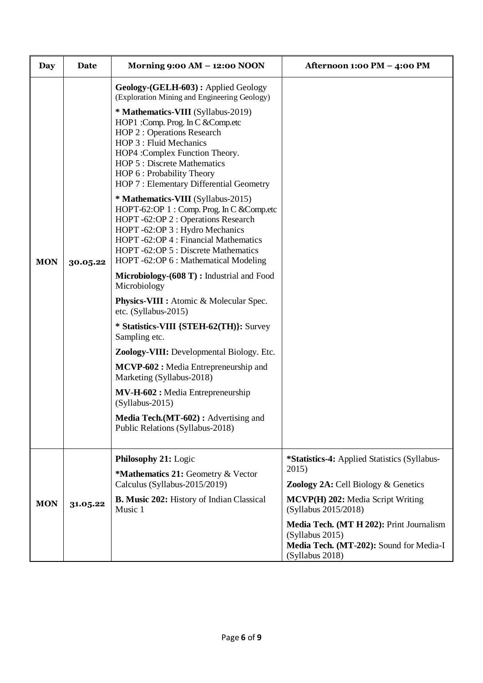| Day        | Date     | Morning 9:00 AM - 12:00 NOON                                                                                                                                                                                                                                                         | Afternoon 1:00 PM - 4:00 PM                                                                                               |
|------------|----------|--------------------------------------------------------------------------------------------------------------------------------------------------------------------------------------------------------------------------------------------------------------------------------------|---------------------------------------------------------------------------------------------------------------------------|
|            |          | Geology-(GELH-603): Applied Geology<br>(Exploration Mining and Engineering Geology)                                                                                                                                                                                                  |                                                                                                                           |
|            |          | * Mathematics-VIII (Syllabus-2019)<br>HOP1 : Comp. Prog. In C & Comp.etc<br>HOP 2 : Operations Research<br>HOP 3 : Fluid Mechanics<br>HOP4 :Complex Function Theory.<br><b>HOP 5: Discrete Mathematics</b><br>HOP 6 : Probability Theory<br>HOP 7 : Elementary Differential Geometry |                                                                                                                           |
| <b>MON</b> | 30.05.22 | * Mathematics-VIII (Syllabus-2015)<br>HOPT-62:OP 1 : Comp. Prog. In C & Comp.etc<br>HOPT-62:OP 2 : Operations Research<br>HOPT-62:OP 3 : Hydro Mechanics<br>HOPT-62:OP 4 : Financial Mathematics<br>HOPT -62:OP 5 : Discrete Mathematics<br>HOPT-62:OP 6 : Mathematical Modeling     |                                                                                                                           |
|            |          | Microbiology-(608 T) : Industrial and Food<br>Microbiology                                                                                                                                                                                                                           |                                                                                                                           |
|            |          | <b>Physics-VIII :</b> Atomic & Molecular Spec.<br>etc. (Syllabus-2015)                                                                                                                                                                                                               |                                                                                                                           |
|            |          | * Statistics-VIII {STEH-62(TH)}: Survey<br>Sampling etc.                                                                                                                                                                                                                             |                                                                                                                           |
|            |          | Zoology-VIII: Developmental Biology. Etc.                                                                                                                                                                                                                                            |                                                                                                                           |
|            |          | MCVP-602: Media Entrepreneurship and<br>Marketing (Syllabus-2018)                                                                                                                                                                                                                    |                                                                                                                           |
|            |          | <b>MV-H-602</b> : Media Entrepreneurship<br>$(Syllabus-2015)$                                                                                                                                                                                                                        |                                                                                                                           |
|            |          | <b>Media Tech.</b> (MT-602): Advertising and<br>Public Relations (Syllabus-2018)                                                                                                                                                                                                     |                                                                                                                           |
|            |          | Philosophy 21: Logic                                                                                                                                                                                                                                                                 | *Statistics-4: Applied Statistics (Syllabus-                                                                              |
|            |          | *Mathematics 21: Geometry & Vector<br>Calculus (Syllabus-2015/2019)                                                                                                                                                                                                                  | 2015)<br><b>Zoology 2A: Cell Biology &amp; Genetics</b>                                                                   |
| <b>MON</b> | 31.05.22 | B. Music 202: History of Indian Classical<br>Music 1                                                                                                                                                                                                                                 | <b>MCVP(H) 202: Media Script Writing</b><br>(Syllabus 2015/2018)                                                          |
|            |          |                                                                                                                                                                                                                                                                                      | Media Tech. (MT H 202): Print Journalism<br>(Syllabus 2015)<br>Media Tech. (MT-202): Sound for Media-I<br>(Syllabus 2018) |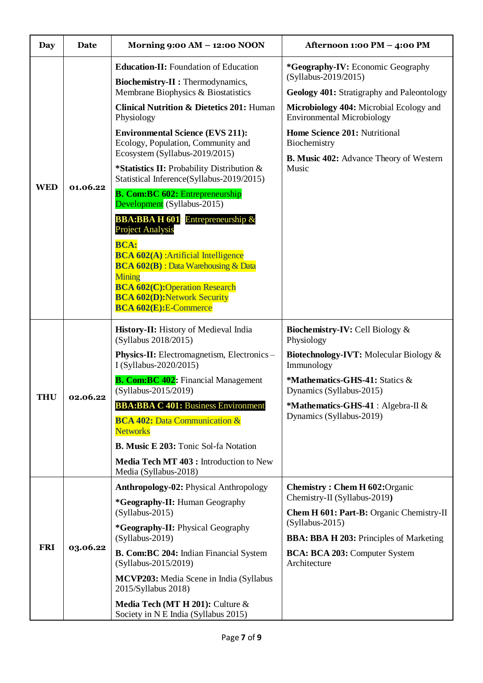| <b>Day</b> | Date     | Morning 9:00 AM - 12:00 NOON                                                                                                                                                                                                                                                                                                                                                                                                                                                                                                                                                                                                                                                                                                                                                                                 | Afternoon 1:00 PM - 4:00 PM                                                                                                                                                                                                                                                                         |
|------------|----------|--------------------------------------------------------------------------------------------------------------------------------------------------------------------------------------------------------------------------------------------------------------------------------------------------------------------------------------------------------------------------------------------------------------------------------------------------------------------------------------------------------------------------------------------------------------------------------------------------------------------------------------------------------------------------------------------------------------------------------------------------------------------------------------------------------------|-----------------------------------------------------------------------------------------------------------------------------------------------------------------------------------------------------------------------------------------------------------------------------------------------------|
| <b>WED</b> | 01.06.22 | <b>Education-II:</b> Foundation of Education<br>Biochemistry-II : Thermodynamics,<br>Membrane Biophysics & Biostatistics<br><b>Clinical Nutrition &amp; Dietetics 201: Human</b><br>Physiology<br><b>Environmental Science (EVS 211):</b><br>Ecology, Population, Community and<br>Ecosystem (Syllabus-2019/2015)<br>*Statistics II: Probability Distribution &<br>Statistical Inference(Syllabus-2019/2015)<br><b>B. Com:BC 602: Entrepreneurship</b><br>Development (Syllabus-2015)<br><b>BBA:BBAH601</b><br>Entrepreneurship $\&$<br><b>Project Analysis</b><br><b>BCA:</b><br><b>BCA 602(A)</b> : Artificial Intelligence<br><b>BCA 602(B)</b> : Data Warehousing & Data<br><b>Mining</b><br><b>BCA 602(C):Operation Research</b><br><b>BCA 602(D): Network Security</b><br><b>BCA 602(E):E-Commerce</b> | *Geography-IV: Economic Geography<br>(Syllabus-2019/2015)<br>Geology 401: Stratigraphy and Paleontology<br>Microbiology 404: Microbial Ecology and<br><b>Environmental Microbiology</b><br>Home Science 201: Nutritional<br>Biochemistry<br><b>B. Music 402:</b> Advance Theory of Western<br>Music |
| <b>THU</b> | 02.06.22 | History-II: History of Medieval India<br>(Syllabus 2018/2015)<br><b>Physics-II:</b> Electromagnetism, Electronics –<br>I (Syllabus-2020/2015)<br><b>B. Com:BC 402:</b> Financial Management<br>(Syllabus-2015/2019)<br><b>BBA:BBA C 401: Business Environment</b><br><b>BCA 402: Data Communication &amp;</b><br><b>Networks</b><br><b>B. Music E 203: Tonic Sol-fa Notation</b><br>Media Tech MT 403 : Introduction to New<br>Media (Syllabus-2018)                                                                                                                                                                                                                                                                                                                                                         | <b>Biochemistry-IV: Cell Biology &amp;</b><br>Physiology<br>Biotechnology-IVT: Molecular Biology &<br>Immunology<br>*Mathematics-GHS-41: Statics &<br>Dynamics (Syllabus-2015)<br>*Mathematics-GHS-41 : Algebra-II &<br>Dynamics (Syllabus-2019)                                                    |
| <b>FRI</b> | 03.06.22 | Anthropology-02: Physical Anthropology<br>*Geography-II: Human Geography<br>$(Syllabus-2015)$<br>*Geography-II: Physical Geography<br>$(Syllabus-2019)$<br>B. Com: BC 204: Indian Financial System<br>(Syllabus-2015/2019)<br>MCVP203: Media Scene in India (Syllabus<br>2015/Syllabus 2018)<br>Media Tech (MT H 201): Culture &<br>Society in N E India (Syllabus 2015)                                                                                                                                                                                                                                                                                                                                                                                                                                     | <b>Chemistry: Chem H 602: Organic</b><br>Chemistry-II (Syllabus-2019)<br>Chem H 601: Part-B: Organic Chemistry-II<br>(Syllabus-2015)<br><b>BBA: BBA H 203:</b> Principles of Marketing<br>BCA: BCA 203: Computer System<br>Architecture                                                             |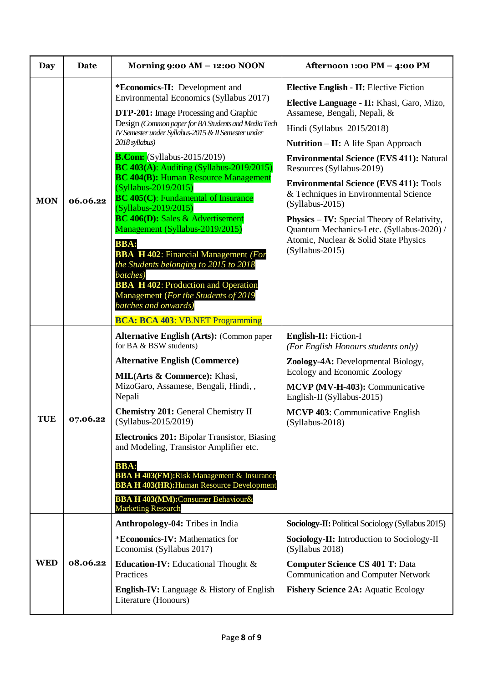| <b>Day</b> | Date     | Morning 9:00 AM - 12:00 NOON                                                                                                                                                                                                                                                                                                                                                                                                                                                                                                                                                                                                                                                                                                                                                                                                                                     | Afternoon 1:00 PM - 4:00 PM                                                                                                                                                                                                                                                                                                                                                                                                                                                                                                                                                |
|------------|----------|------------------------------------------------------------------------------------------------------------------------------------------------------------------------------------------------------------------------------------------------------------------------------------------------------------------------------------------------------------------------------------------------------------------------------------------------------------------------------------------------------------------------------------------------------------------------------------------------------------------------------------------------------------------------------------------------------------------------------------------------------------------------------------------------------------------------------------------------------------------|----------------------------------------------------------------------------------------------------------------------------------------------------------------------------------------------------------------------------------------------------------------------------------------------------------------------------------------------------------------------------------------------------------------------------------------------------------------------------------------------------------------------------------------------------------------------------|
| <b>MON</b> | 06.06.22 | *Economics-II: Development and<br>Environmental Economics (Syllabus 2017)<br><b>DTP-201:</b> Image Processing and Graphic<br>Design (Common paper for BA Students and Media Tech<br>IV Semester under Syllabus-2015 & II Semester under<br>2018 syllabus)<br><b>B.Com:</b> (Syllabus-2015/2019)<br><b>BC 403(A): Auditing (Syllabus-2019/2015)</b><br><b>BC 404(B): Human Resource Management</b><br>$(Syllabus-2019/2015)$<br><b>BC</b> 405(C): Fundamental of Insurance<br>$(Syllabus - 2019/2015)$<br><b>BC 406(D):</b> Sales & Advertisement<br>Management (Syllabus-2019/2015)<br><b>BBA:</b><br><b>BBA H 402:</b> Financial Management (For<br>the Students belonging to 2015 to 2018<br>batches)<br><b>BBA H 402: Production and Operation</b><br>Management (For the Students of 2019<br>batches and onwards)<br><b>BCA: BCA 403: VB.NET Programming</b> | <b>Elective English - II: Elective Fiction</b><br>Elective Language - II: Khasi, Garo, Mizo,<br>Assamese, Bengali, Nepali, &<br>Hindi (Syllabus 2015/2018)<br><b>Nutrition – II:</b> A life Span Approach<br><b>Environmental Science (EVS 411): Natural</b><br>Resources (Syllabus-2019)<br><b>Environmental Science (EVS 411): Tools</b><br>& Techniques in Environmental Science<br>$(Syllabus-2015)$<br><b>Physics – IV:</b> Special Theory of Relativity,<br>Quantum Mechanics-I etc. (Syllabus-2020) /<br>Atomic, Nuclear & Solid State Physics<br>$(Syllabus-2015)$ |
| <b>TUE</b> | 07.06.22 | <b>Alternative English (Arts): (Common paper</b><br>for BA & BSW students)<br><b>Alternative English (Commerce)</b><br><b>MIL(Arts &amp; Commerce):</b> Khasi,<br>MizoGaro, Assamese, Bengali, Hindi,,<br>Nepali<br><b>Chemistry 201: General Chemistry II</b><br>(Syllabus-2015/2019)<br><b>Electronics 201:</b> Bipolar Transistor, Biasing<br>and Modeling, Transistor Amplifier etc.<br><b>BBA:</b><br><b>BBA H 403(FM): Risk Management &amp; Insurance</b><br><b>BBA H 403(HR): Human Resource Development</b><br><b>BBA H 403(MM):</b> Consumer Behaviour&<br><b>Marketing Research</b>                                                                                                                                                                                                                                                                   | English-II: Fiction-I<br>(For English Honours students only)<br>Zoology-4A: Developmental Biology,<br>Ecology and Economic Zoology<br>MCVP (MV-H-403): Communicative<br>English-II (Syllabus-2015)<br>MCVP 403: Communicative English<br>$(Syllabus-2018)$                                                                                                                                                                                                                                                                                                                 |
| <b>WED</b> | 08.06.22 | <b>Anthropology-04:</b> Tribes in India<br>*Economics-IV: Mathematics for<br>Economist (Syllabus 2017)<br><b>Education-IV:</b> Educational Thought $\&$<br>Practices<br><b>English-IV:</b> Language & History of English<br>Literature (Honours)                                                                                                                                                                                                                                                                                                                                                                                                                                                                                                                                                                                                                 | <b>Sociology-II:</b> Political Sociology (Syllabus 2015)<br>Sociology-II: Introduction to Sociology-II<br>(Syllabus 2018)<br><b>Computer Science CS 401 T: Data</b><br><b>Communication and Computer Network</b><br><b>Fishery Science 2A: Aquatic Ecology</b>                                                                                                                                                                                                                                                                                                             |